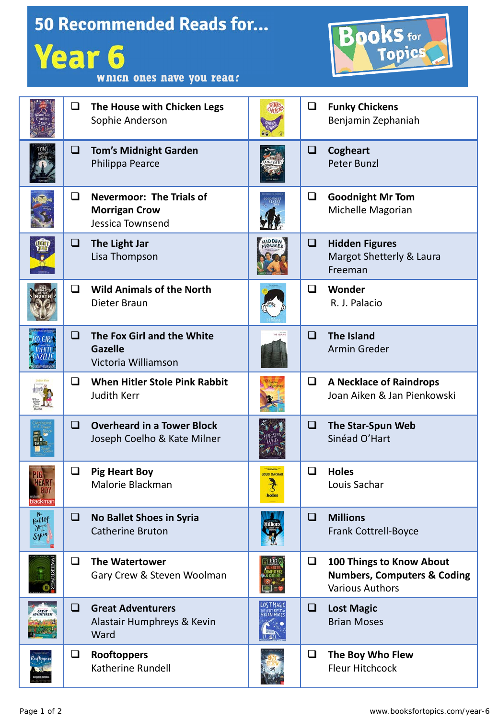| <b>50 Recommended Reads for</b><br><b>Books</b> for<br><b>Year 6</b><br>Which ones have you read? |        |                                                                             |                                              |        |                                                                                              |  |  |  |
|---------------------------------------------------------------------------------------------------|--------|-----------------------------------------------------------------------------|----------------------------------------------|--------|----------------------------------------------------------------------------------------------|--|--|--|
|                                                                                                   | ❏      | The House with Chicken Legs<br>Sophie Anderson                              |                                              | $\Box$ | <b>Funky Chickens</b><br>Benjamin Zephaniah                                                  |  |  |  |
|                                                                                                   | u      | <b>Tom's Midnight Garden</b><br>Philippa Pearce                             |                                              | ❏      | <b>Cogheart</b><br><b>Peter Bunzl</b>                                                        |  |  |  |
|                                                                                                   | ❏      | <b>Nevermoor: The Trials of</b><br><b>Morrigan Crow</b><br>Jessica Townsend |                                              | Q      | <b>Goodnight Mr Tom</b><br>Michelle Magorian                                                 |  |  |  |
| W                                                                                                 | Q      | The Light Jar<br>Lisa Thompson                                              | <b>HIDDEN</b><br>FIGURES                     | $\Box$ | <b>Hidden Figures</b><br>Margot Shetterly & Laura<br>Freeman                                 |  |  |  |
|                                                                                                   | ◻      | <b>Wild Animals of the North</b><br>Dieter Braun                            |                                              | ◻      | Wonder<br>R. J. Palacio                                                                      |  |  |  |
|                                                                                                   | ◻      | The Fox Girl and the White<br><b>Gazelle</b><br>Victoria Williamson         |                                              | ◻      | <b>The Island</b><br><b>Armin Greder</b>                                                     |  |  |  |
|                                                                                                   | $\Box$ | <b>When Hitler Stole Pink Rabbit</b><br><b>Judith Kerr</b>                  |                                              | $\Box$ | <b>A Necklace of Raindrops</b><br>Joan Aiken & Jan Pienkowski                                |  |  |  |
|                                                                                                   | $\Box$ | <b>Overheard in a Tower Block</b><br>Joseph Coelho & Kate Milner            |                                              | $\Box$ | The Star-Spun Web<br>Sinéad O'Hart                                                           |  |  |  |
|                                                                                                   | ❏      | <b>Pig Heart Boy</b><br>Malorie Blackman                                    | <b>OUIS SACHAR</b><br>$\mathcal{F}$<br>holes | □      | <b>Holes</b><br>Louis Sachar                                                                 |  |  |  |
| $F^{\text{N}}_{\text{self}}$<br>Shoes<br>Syria                                                    | ⊔      | <b>No Ballet Shoes in Syria</b><br><b>Catherine Bruton</b>                  |                                              | u      | <b>Millions</b><br>Frank Cottrell-Boyce                                                      |  |  |  |
|                                                                                                   | ❏      | <b>The Watertower</b><br>Gary Crew & Steven Woolman                         |                                              | ❏      | 100 Things to Know About<br><b>Numbers, Computers &amp; Coding</b><br><b>Various Authors</b> |  |  |  |
|                                                                                                   | ◻      | <b>Great Adventurers</b><br>Alastair Humphreys & Kevin<br>Ward              |                                              | ❏      | <b>Lost Magic</b><br><b>Brian Moses</b>                                                      |  |  |  |
|                                                                                                   | ❏      | Rooftoppers<br>Katherine Rundell                                            |                                              | ❏      | The Boy Who Flew<br><b>Fleur Hitchcock</b>                                                   |  |  |  |